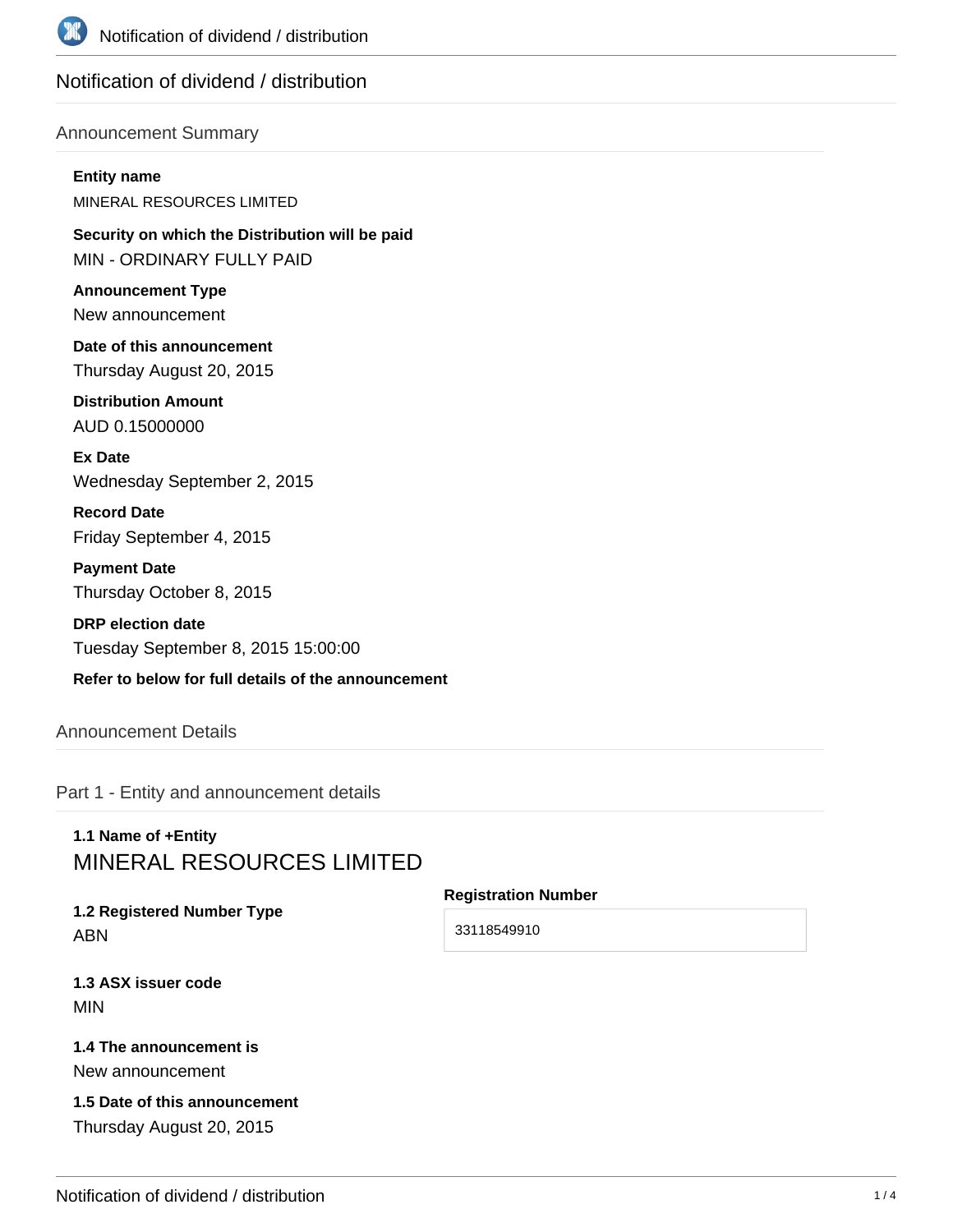

## Notification of dividend / distribution

#### Announcement Summary

#### **Entity name**

MINERAL RESOURCES LIMITED

**Security on which the Distribution will be paid** MIN - ORDINARY FULLY PAID

**Announcement Type** New announcement

**Date of this announcement** Thursday August 20, 2015

**Distribution Amount** AUD 0.15000000

**Ex Date** Wednesday September 2, 2015

**Record Date** Friday September 4, 2015

**Payment Date** Thursday October 8, 2015

**DRP election date** Tuesday September 8, 2015 15:00:00

## **Refer to below for full details of the announcement**

### Announcement Details

Part 1 - Entity and announcement details

# **1.1 Name of +Entity** MINERAL RESOURCES LIMITED

**1.2 Registered Number Type** ABN

**Registration Number**

33118549910

**1.3 ASX issuer code** MIN

#### **1.4 The announcement is** New announcement

**1.5 Date of this announcement** Thursday August 20, 2015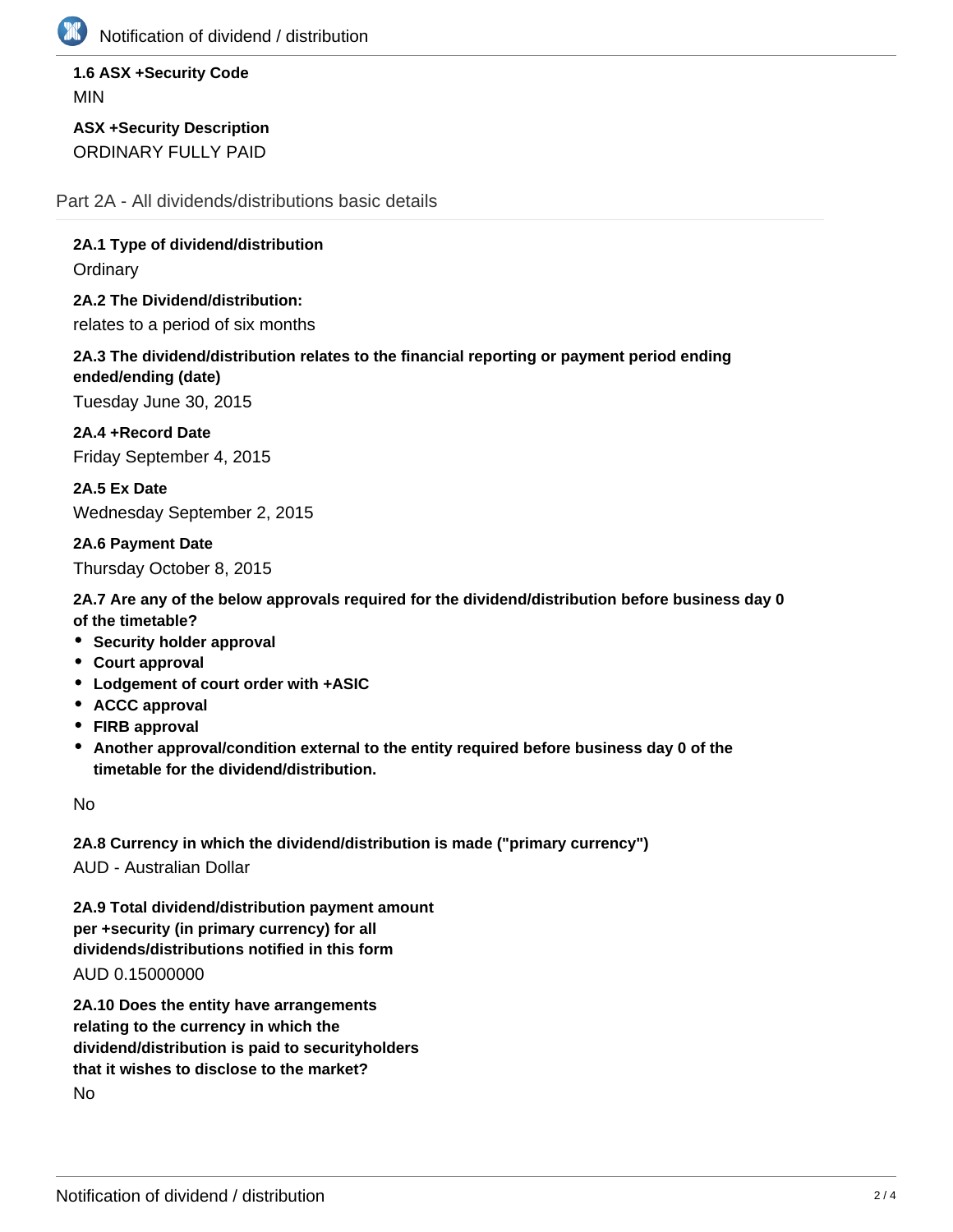

Notification of dividend / distribution

**1.6 ASX +Security Code** MIN

**ASX +Security Description** ORDINARY FULLY PAID

Part 2A - All dividends/distributions basic details

**2A.1 Type of dividend/distribution**

**Ordinary** 

**2A.2 The Dividend/distribution:** relates to a period of six months

**2A.3 The dividend/distribution relates to the financial reporting or payment period ending ended/ending (date)**

Tuesday June 30, 2015

**2A.4 +Record Date** Friday September 4, 2015

**2A.5 Ex Date** Wednesday September 2, 2015

**2A.6 Payment Date** Thursday October 8, 2015

**2A.7 Are any of the below approvals required for the dividend/distribution before business day 0 of the timetable?**

- **Security holder approval**
- **Court approval**
- **Lodgement of court order with +ASIC**
- **ACCC approval**
- **FIRB approval**
- **Another approval/condition external to the entity required before business day 0 of the timetable for the dividend/distribution.**

No

**2A.8 Currency in which the dividend/distribution is made ("primary currency")** AUD - Australian Dollar

**2A.9 Total dividend/distribution payment amount per +security (in primary currency) for all dividends/distributions notified in this form**

AUD 0.15000000

**2A.10 Does the entity have arrangements relating to the currency in which the dividend/distribution is paid to securityholders that it wishes to disclose to the market?** No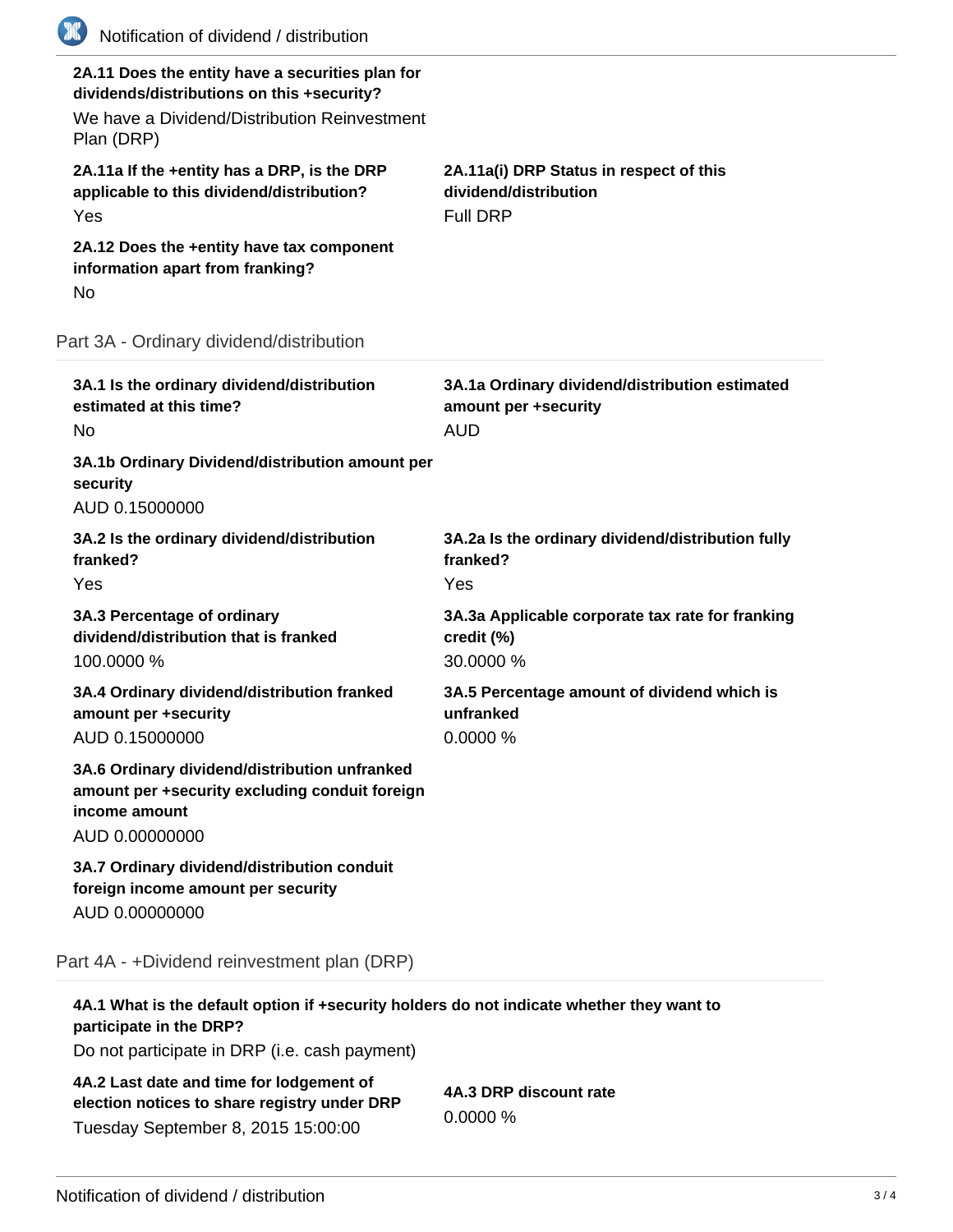| (XX)<br>Notification of dividend / distribution                                                                                                              |                                                                                      |
|--------------------------------------------------------------------------------------------------------------------------------------------------------------|--------------------------------------------------------------------------------------|
| 2A.11 Does the entity have a securities plan for<br>dividends/distributions on this +security?<br>We have a Dividend/Distribution Reinvestment<br>Plan (DRP) |                                                                                      |
| 2A.11a If the +entity has a DRP, is the DRP<br>applicable to this dividend/distribution?<br>Yes                                                              | 2A.11a(i) DRP Status in respect of this<br>dividend/distribution<br><b>Full DRP</b>  |
| 2A.12 Does the +entity have tax component<br>information apart from franking?<br>No                                                                          |                                                                                      |
| Part 3A - Ordinary dividend/distribution                                                                                                                     |                                                                                      |
| 3A.1 Is the ordinary dividend/distribution<br>estimated at this time?<br><b>No</b>                                                                           | 3A.1a Ordinary dividend/distribution estimated<br>amount per +security<br><b>AUD</b> |
| 3A.1b Ordinary Dividend/distribution amount per<br>security<br>AUD 0.15000000                                                                                |                                                                                      |
| 3A.2 Is the ordinary dividend/distribution<br>franked?<br>Yes                                                                                                | 3A.2a Is the ordinary dividend/distribution fully<br>franked?<br>Yes                 |
| 3A.3 Percentage of ordinary<br>dividend/distribution that is franked<br>100.0000 %                                                                           | 3A.3a Applicable corporate tax rate for franking<br>credit (%)<br>30.0000 %          |
| 3A.4 Ordinary dividend/distribution franked<br>amount per +security<br>AUD 0.15000000                                                                        | 3A.5 Percentage amount of dividend which is<br>unfranked<br>0.0000 %                 |
| 3A.6 Ordinary dividend/distribution unfranked<br>amount per +security excluding conduit foreign<br>income amount<br>AUD 0.00000000                           |                                                                                      |
| 3A.7 Ordinary dividend/distribution conduit<br>foreign income amount per security<br>AUD 0.00000000                                                          |                                                                                      |
| Part 4A - +Dividend reinvestment plan (DRP)                                                                                                                  |                                                                                      |
| 4A.1 What is the default option if +security holders do not indicate whether they want to<br>participate in the DRP?                                         |                                                                                      |
| Do not participate in DRP (i.e. cash payment)                                                                                                                |                                                                                      |
|                                                                                                                                                              |                                                                                      |

**4A.2 Last date and time for lodgement of election notices to share registry under DRP** Tuesday September 8, 2015 15:00:00

**4A.3 DRP discount rate** 0.0000 %